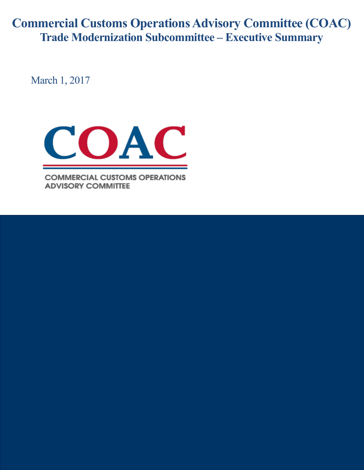**Commercial Customs Operations Advisory Committee (COAC) Trade Modernization Subcommittee – Executive Summary**

March 1, 2017



**COMMERCIAL CUSTOMS OPERATIONS ADVISORY COMMITTEE**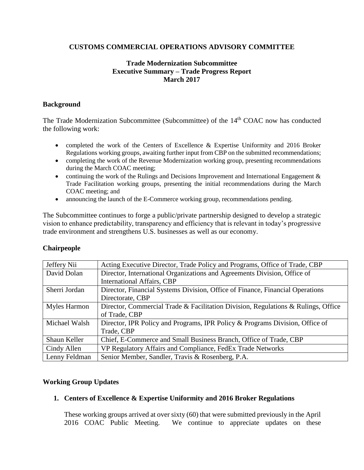# **CUSTOMS COMMERCIAL OPERATIONS ADVISORY COMMITTEE**

### **Trade Modernization Subcommittee Executive Summary – Trade Progress Report March 2017**

#### **Background**

The Trade Modernization Subcommittee (Subcommittee) of the 14<sup>th</sup> COAC now has conducted the following work:

- completed the work of the Centers of Excellence & Expertise Uniformity and 2016 Broker Regulations working groups, awaiting further input from CBP on the submitted recommendations;
- completing the work of the Revenue Modernization working group, presenting recommendations during the March COAC meeting;
- continuing the work of the Rulings and Decisions Improvement and International Engagement & Trade Facilitation working groups, presenting the initial recommendations during the March COAC meeting; and
- announcing the launch of the E-Commerce working group, recommendations pending.

The Subcommittee continues to forge a public/private partnership designed to develop a strategic vision to enhance predictability, transparency and efficiency that is relevant in today's progressive trade environment and strengthens U.S. businesses as well as our economy.

| Jeffery Nii   | Acting Executive Director, Trade Policy and Programs, Office of Trade, CBP        |
|---------------|-----------------------------------------------------------------------------------|
| David Dolan   | Director, International Organizations and Agreements Division, Office of          |
|               | <b>International Affairs, CBP</b>                                                 |
| Sherri Jordan | Director, Financial Systems Division, Office of Finance, Financial Operations     |
|               | Directorate, CBP                                                                  |
| Myles Harmon  | Director, Commercial Trade & Facilitation Division, Regulations & Rulings, Office |
|               | of Trade, CBP                                                                     |
| Michael Walsh | Director, IPR Policy and Programs, IPR Policy & Programs Division, Office of      |
|               | Trade, CBP                                                                        |
| Shaun Keller  | Chief, E-Commerce and Small Business Branch, Office of Trade, CBP                 |
| Cindy Allen   | VP Regulatory Affairs and Compliance, FedEx Trade Networks                        |
| Lenny Feldman | Senior Member, Sandler, Travis & Rosenberg, P.A.                                  |

#### **Chairpeople**

# **Working Group Updates**

#### **1. Centers of Excellence & Expertise Uniformity and 2016 Broker Regulations**

These working groups arrived at over sixty (60) that were submitted previously in the April 2016 COAC Public Meeting. We continue to appreciate updates on these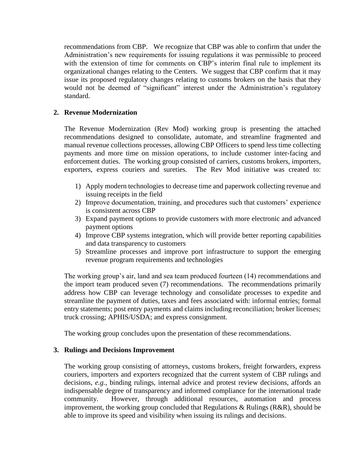recommendations from CBP. We recognize that CBP was able to confirm that under the Administration's new requirements for issuing regulations it was permissible to proceed with the extension of time for comments on CBP's interim final rule to implement its organizational changes relating to the Centers. We suggest that CBP confirm that it may issue its proposed regulatory changes relating to customs brokers on the basis that they would not be deemed of "significant" interest under the Administration's regulatory standard.

# **2. Revenue Modernization**

The Revenue Modernization (Rev Mod) working group is presenting the attached recommendations designed to consolidate, automate, and streamline fragmented and manual revenue collections processes, allowing CBP Officers to spend less time collecting payments and more time on mission operations, to include customer inter-facing and enforcement duties. The working group consisted of carriers, customs brokers, importers, exporters, express couriers and sureties. The Rev Mod initiative was created to:

- 1) Apply modern technologies to decrease time and paperwork collecting revenue and issuing receipts in the field
- 2) Improve documentation, training, and procedures such that customers' experience is consistent across CBP
- 3) Expand payment options to provide customers with more electronic and advanced payment options
- 4) Improve CBP systems integration, which will provide better reporting capabilities and data transparency to customers
- 5) Streamline processes and improve port infrastructure to support the emerging revenue program requirements and technologies

The working group's air, land and sea team produced fourteen (14) recommendations and the import team produced seven (7) recommendations. The recommendations primarily address how CBP can leverage technology and consolidate processes to expedite and streamline the payment of duties, taxes and fees associated with: informal entries; formal entry statements; post entry payments and claims including reconciliation; broker licenses; truck crossing; APHIS/USDA; and express consignment.

The working group concludes upon the presentation of these recommendations.

# **3. Rulings and Decisions Improvement**

The working group consisting of attorneys, customs brokers, freight forwarders, express couriers, importers and exporters recognized that the current system of CBP rulings and decisions, *e.g.,* binding rulings, internal advice and protest review decisions, affords an indispensable degree of transparency and informed compliance for the international trade community. However, through additional resources, automation and process improvement, the working group concluded that Regulations & Rulings (R&R), should be able to improve its speed and visibility when issuing its rulings and decisions.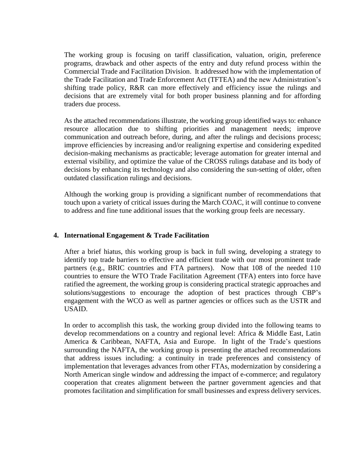The working group is focusing on tariff classification, valuation, origin, preference programs, drawback and other aspects of the entry and duty refund process within the Commercial Trade and Facilitation Division. It addressed how with the implementation of the Trade Facilitation and Trade Enforcement Act (TFTEA) and the new Administration's shifting trade policy, R&R can more effectively and efficiency issue the rulings and decisions that are extremely vital for both proper business planning and for affording traders due process.

As the attached recommendations illustrate, the working group identified ways to: enhance resource allocation due to shifting priorities and management needs; improve communication and outreach before, during, and after the rulings and decisions process; improve efficiencies by increasing and/or realigning expertise and considering expedited decision-making mechanisms as practicable; leverage automation for greater internal and external visibility, and optimize the value of the CROSS rulings database and its body of decisions by enhancing its technology and also considering the sun-setting of older, often outdated classification rulings and decisions.

Although the working group is providing a significant number of recommendations that touch upon a variety of critical issues during the March COAC, it will continue to convene to address and fine tune additional issues that the working group feels are necessary.

#### **4. International Engagement & Trade Facilitation**

After a brief hiatus, this working group is back in full swing, developing a strategy to identify top trade barriers to effective and efficient trade with our most prominent trade partners (e.g., BRIC countries and FTA partners). Now that 108 of the needed 110 countries to ensure the WTO Trade Facilitation Agreement (TFA) enters into force have ratified the agreement, the working group is considering practical strategic approaches and solutions/suggestions to encourage the adoption of best practices through CBP's engagement with the WCO as well as partner agencies or offices such as the USTR and USAID.

In order to accomplish this task, the working group divided into the following teams to develop recommendations on a country and regional level: Africa & Middle East, Latin America & Caribbean, NAFTA, Asia and Europe. In light of the Trade's questions surrounding the NAFTA, the working group is presenting the attached recommendations that address issues including: a continuity in trade preferences and consistency of implementation that leverages advances from other FTAs, modernization by considering a North American single window and addressing the impact of e-commerce; and regulatory cooperation that creates alignment between the partner government agencies and that promotes facilitation and simplification for small businesses and express delivery services.